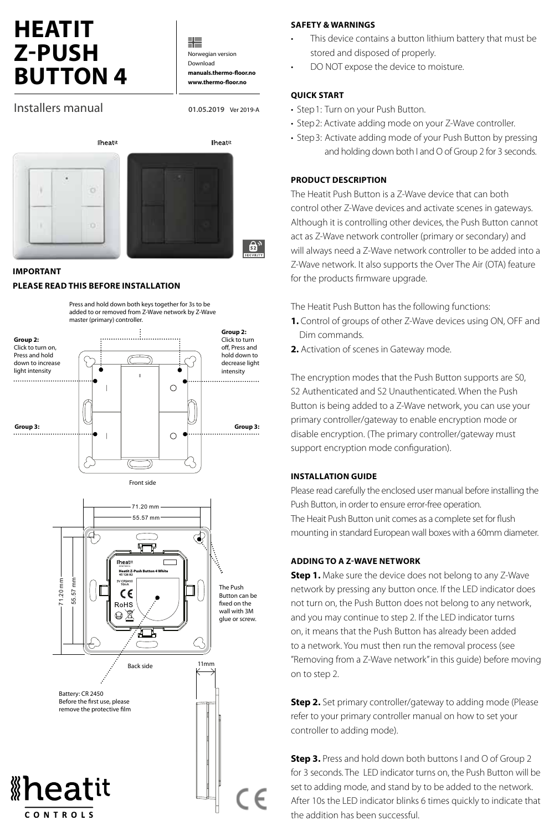# **HEATIT Z-PUSH BUTTON 4**

╬ Norwegian version Download **manuals.thermo-floor.no www.thermo-floor.no**

**01.05.2019** Ver 2019-A

**iheatit** 

து,

Installers manual



#### **IMPORTANT**

#### **PLEASE READ THIS BEFORE INSTALLATION**





#### **SAFETY & WARNINGS**

- This device contains a button lithium battery that must be stored and disposed of properly.
- DO NOT expose the device to moisture.

#### **QUICK START**

- Step1: Turn on your Push Button.
- Step2: Activate adding mode on your Z-Wave controller.
- Step3: Activate adding mode of your Push Button by pressing and holding down both I and O of Group 2 for 3 seconds.

#### **PRODUCT DESCRIPTION**

The Heatit Push Button is a Z-Wave device that can both control other Z-Wave devices and activate scenes in gateways. Although it is controlling other devices, the Push Button cannot act as Z-Wave network controller (primary or secondary) and will always need a Z-Wave network controller to be added into a Z-Wave network. It also supports the Over The Air (OTA) feature for the products firmware upgrade.

The Heatit Push Button has the following functions:

- **1.** Control of groups of other Z-Wave devices using ON, OFF and Dim commands.
- **2.** Activation of scenes in Gateway mode.

The encryption modes that the Push Button supports are S0, S2 Authenticated and S2 Unauthenticated. When the Push Button is being added to a Z-Wave network, you can use your primary controller/gateway to enable encryption mode or disable encryption. (The primary controller/gateway must support encryption mode configuration).

#### **INSTALLATION GUIDE**

Please read carefully the enclosed user manual before installing the Push Button, in order to ensure error-free operation. The Heait Push Button unit comes as a complete set for flush mounting in standard European wall boxes with a 60mm diameter.

#### **ADDING TO A Z-WAVE NETWORK**

**Step 1.** Make sure the device does not belong to any Z-Wave network by pressing any button once. If the LED indicator does not turn on, the Push Button does not belong to any network, and you may continue to step 2. If the LED indicator turns on, it means that the Push Button has already been added to a network. You must then run the removal process (see "Removing from a Z-Wave network" in this guide) before moving on to step 2.

**Step 2.** Set primary controller/gateway to adding mode (Please refer to your primary controller manual on how to set your controller to adding mode).

**Step 3.** Press and hold down both buttons I and O of Group 2 for 3 seconds. The LED indicator turns on, the Push Button will be set to adding mode, and stand by to be added to the network. After 10s the LED indicator blinks 6 times quickly to indicate that the addition has been successful.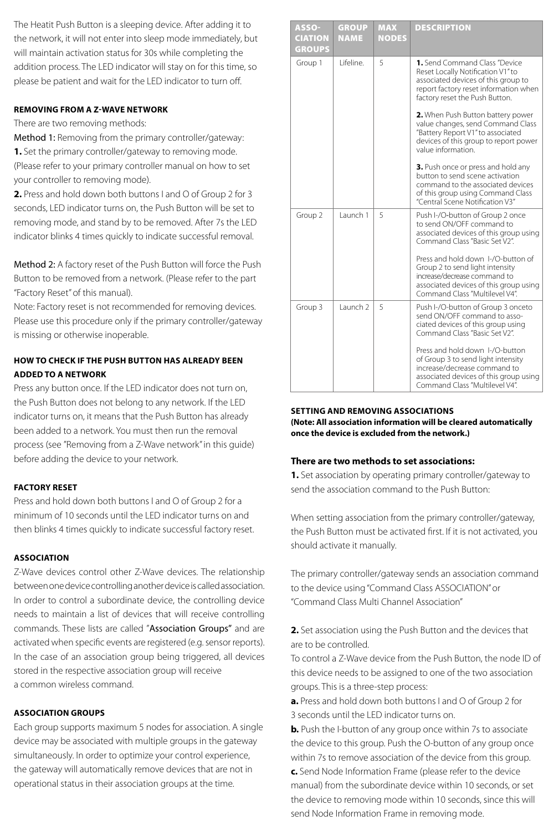The Heatit Push Button is a sleeping device. After adding it to the network, it will not enter into sleep mode immediately, but will maintain activation status for 30s while completing the addition process. The LED indicator will stay on for this time, so please be patient and wait for the LED indicator to turn off.

#### **REMOVING FROM A Z-WAVE NETWORK**

There are two removing methods:

Method 1: Removing from the primary controller/gateway: **1.** Set the primary controller/gateway to removing mode. (Please refer to your primary controller manual on how to set your controller to removing mode).

**2.** Press and hold down both buttons I and O of Group 2 for 3 seconds, LED indicator turns on, the Push Button will be set to removing mode, and stand by to be removed. After 7s the LED indicator blinks 4 times quickly to indicate successful removal.

Method 2: A factory reset of the Push Button will force the Push Button to be removed from a network. (Please refer to the part "Factory Reset" of this manual).

Note: Factory reset is not recommended for removing devices. Please use this procedure only if the primary controller/gateway is missing or otherwise inoperable.

## **HOW TO CHECK IF THE PUSH BUTTON HAS ALREADY BEEN ADDED TO A NETWORK**

Press any button once. If the LED indicator does not turn on, the Push Button does not belong to any network. If the LED indicator turns on, it means that the Push Button has already been added to a network. You must then run the removal process (see "Removing from a Z-Wave network" in this guide) before adding the device to your network.

#### **FACTORY RESET**

Press and hold down both buttons I and O of Group 2 for a minimum of 10 seconds until the LED indicator turns on and then blinks 4 times quickly to indicate successful factory reset.

#### **ASSOCIATION**

Z-Wave devices control other Z-Wave devices. The relationship between one device controlling another device is called association. In order to control a subordinate device, the controlling device needs to maintain a list of devices that will receive controlling commands. These lists are called "Association Groups" and are activated when specific events are registered (e.g. sensor reports). In the case of an association group being triggered, all devices stored in the respective association group will receive a common wireless command.

#### **ASSOCIATION GROUPS**

Each group supports maximum 5 nodes for association. A single device may be associated with multiple groups in the gateway simultaneously. In order to optimize your control experience, the gateway will automatically remove devices that are not in operational status in their association groups at the time.

| ASSO-<br><b>CIATION</b>  | <b>GROUP</b><br><b>NAME</b> | <b>MAX</b><br><b>NODES</b> | <b>DESCRIPTION</b>                                                                                                                                                                                          |
|--------------------------|-----------------------------|----------------------------|-------------------------------------------------------------------------------------------------------------------------------------------------------------------------------------------------------------|
| <b>GROUPS</b><br>Group 1 | l ifeline                   | 5                          | 1. Send Command Class "Device<br>Reset Locally Notification V1" to<br>associated devices of this group to<br>report factory reset information when                                                          |
|                          |                             |                            | factory reset the Push Button.<br>2. When Push Button battery power<br>value changes, send Command Class<br>"Battery Report V1" to associated<br>devices of this group to report power<br>value information |
|                          |                             |                            | 3. Push once or press and hold any<br>button to send scene activation<br>command to the associated devices<br>of this group using Command Class<br>"Central Scene Notification V3"                          |
| Group 2                  | Launch 1                    | 5                          | Push I-/O-button of Group 2 once<br>to send ON/OFF command to<br>associated devices of this group using<br>Command Class "Basic Set V2".                                                                    |
|                          |                             |                            | Press and hold down 1-/O-button of<br>Group 2 to send light intensity<br>increase/decrease command to<br>associated devices of this group using<br>Command Class "Multilevel V4".                           |
| Group 3                  | Launch <sub>2</sub>         | 5                          | Push I-/O-button of Group 3 onceto<br>send ON/OFF command to asso-<br>ciated devices of this group using<br>Command Class "Basic Set V2".                                                                   |
|                          |                             |                            | Press and hold down I-/O-button<br>of Group 3 to send light intensity<br>increase/decrease command to<br>associated devices of this group using<br>Command Class "Multilevel V4".                           |

#### **SETTING AND REMOVING ASSOCIATIONS (Note: All association information will be cleared automatically once the device is excluded from the network.)**

#### **There are two methods to set associations:**

**1.** Set association by operating primary controller/gateway to send the association command to the Push Button:

When setting association from the primary controller/gateway, the Push Button must be activated first. If it is not activated, you should activate it manually.

The primary controller/gateway sends an association command to the device using "Command Class ASSOCIATION" or "Command Class Multi Channel Association"

### **2.** Set association using the Push Button and the devices that are to be controlled.

To control a Z-Wave device from the Push Button, the node ID of this device needs to be assigned to one of the two association groups. This is a three-step process:

**a.** Press and hold down both buttons I and O of Group 2 for 3 seconds until the LED indicator turns on.

**b.** Push the I-button of any group once within 7s to associate the device to this group. Push the O-button of any group once within 7s to remove association of the device from this group. **c.** Send Node Information Frame (please refer to the device manual) from the subordinate device within 10 seconds, or set the device to removing mode within 10 seconds, since this will send Node Information Frame in removing mode.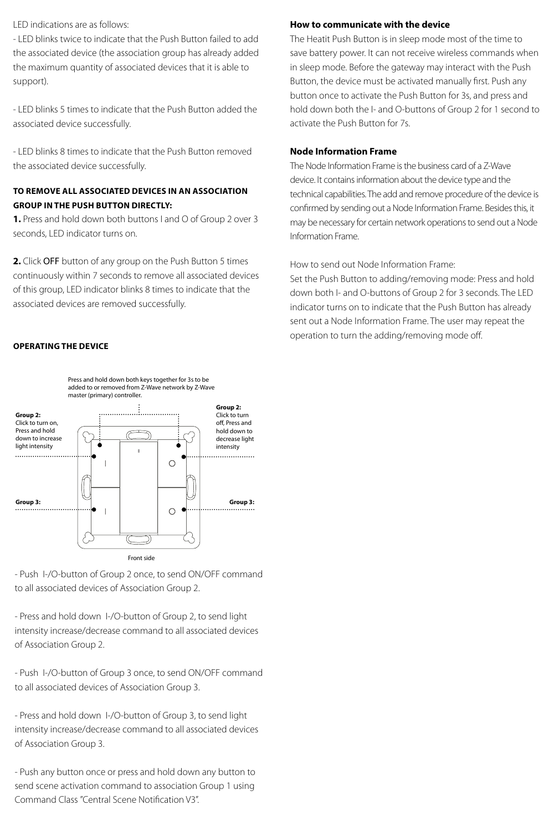LED indications are as follows:

- LED blinks twice to indicate that the Push Button failed to add the associated device (the association group has already added the maximum quantity of associated devices that it is able to support).

- LED blinks 5 times to indicate that the Push Button added the associated device successfully.

- LED blinks 8 times to indicate that the Push Button removed the associated device successfully.

### **TO REMOVE ALL ASSOCIATED DEVICES IN AN ASSOCIATION GROUP IN THE PUSH BUTTON DIRECTLY:**

**1.** Press and hold down both buttons I and O of Group 2 over 3 seconds, LED indicator turns on.

**2.** Click OFF button of any group on the Push Button 5 times continuously within 7 seconds to remove all associated devices of this group, LED indicator blinks 8 times to indicate that the associated devices are removed successfully.

#### **OPERATING THE DEVICE**

#### **How to communicate with the device**

The Heatit Push Button is in sleep mode most of the time to save battery power. It can not receive wireless commands when in sleep mode. Before the gateway may interact with the Push Button, the device must be activated manually first. Push any button once to activate the Push Button for 3s, and press and hold down both the I- and O-buttons of Group 2 for 1 second to activate the Push Button for 7s.

#### **Node Information Frame**

The Node Information Frame is the business card of a Z-Wave device. It contains information about the device type and the technical capabilities. The add and remove procedure of the device is confirmed by sending out a Node Information Frame. Besides this, it may be necessary for certain network operations to send out a Node Information Frame.

How to send out Node Information Frame:

Set the Push Button to adding/removing mode: Press and hold down both I- and O-buttons of Group 2 for 3 seconds. The LED indicator turns on to indicate that the Push Button has already sent out a Node Information Frame. The user may repeat the operation to turn the adding/removing mode off.





- Push I-/O-button of Group 2 once, to send ON/OFF command to all associated devices of Association Group 2.

- Press and hold down I-/O-button of Group 2, to send light intensity increase/decrease command to all associated devices of Association Group 2.

- Push I-/O-button of Group 3 once, to send ON/OFF command to all associated devices of Association Group 3.

- Press and hold down I-/O-button of Group 3, to send light intensity increase/decrease command to all associated devices of Association Group 3.

- Push any button once or press and hold down any button to send scene activation command to association Group 1 using Command Class "Central Scene Notification V3".